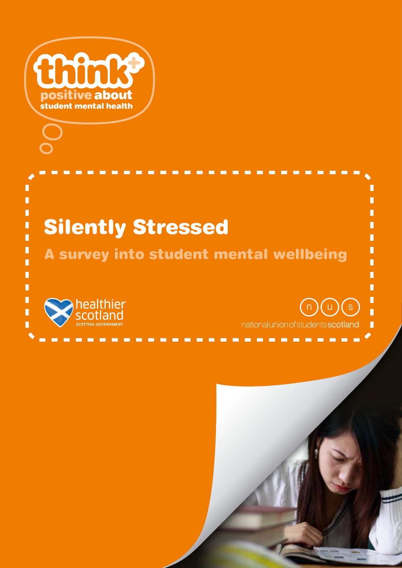

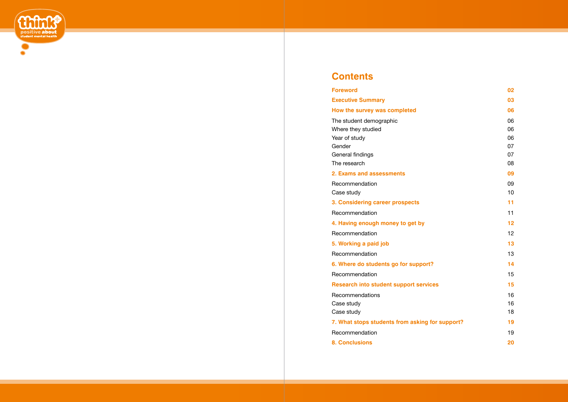

# **Contents**

#### **Foreword 02**

**Executive Summary 03**

# **How the survey was completed 06**

The student demographic Where they studied Year of study Gender General findings

The research

**3. Considering career prospects 11** Recommendation

**4. Having enough money to get by** Recommendation

**5. Working a paid job** 

**Recommendation** 

**6. Where do students go for support? 14** Recommendation

**Research into student support servic** 

**Recommendations** 

# **2. Exams and assessments 09**

Case study

Recommendation Case study

Case study

**7. What stops students from asking** 

Recommendation

**8. Conclusions** 

|              | 02 |
|--------------|----|
|              | 03 |
|              | 06 |
|              | 06 |
|              | 06 |
|              | 06 |
|              | 07 |
|              | 07 |
|              | 08 |
|              | 09 |
|              | 09 |
|              | 10 |
|              | 11 |
|              | 11 |
|              | 12 |
|              | 12 |
|              | 13 |
|              | 13 |
| ?            | 14 |
|              | 15 |
| ces          | 15 |
|              | 16 |
|              | 16 |
|              | 18 |
| for support? | 19 |
|              | 19 |
|              |    |
|              | 20 |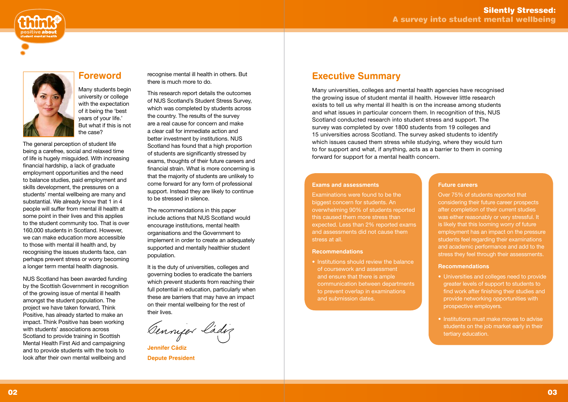The general perception of student life being a carefree, social and relaxed time of life is hugely misguided. With increasing financial hardship, a lack of graduate employment opportunities and the need to balance studies, paid employment and skills development, the pressures on a students' mental wellbeing are many and substantial. We already know that 1 in 4 people will suffer from mental ill health at some point in their lives and this applies to the student community too. That is over 160,000 students in Scotland. However, we can make education more accessible to those with mental ill health and, by recognising the issues students face, can perhaps prevent stress or worry becoming a longer term mental health diagnosis.

NUS Scotland has been awarded funding by the Scottish Government in recognition of the growing issue of mental ill health amongst the student population. The project we have taken forward, Think Positive, has already started to make an impact. Think Positive has been working with students' associations across Scotland to provide training in Scottish Mental Health First Aid and campaigning and to provide students with the tools to look after their own mental wellbeing and





# **Foreword**

**Jennifer Cádi Depute President** 

Many students begin university or college with the expectation of it being the 'best years of your life.' But what if this is not the case?

recognise mental ill health in others. But there is much more to do.

This research report details the outcomes of NUS Scotland's Student Stress Survey, which was completed by students across the country. The results of the survey are a real cause for concern and make a clear call for immediate action and better investment by institutions. NUS Scotland has found that a high proportion of students are significantly stressed by exams, thoughts of their future careers and financial strain. What is more concerning is that the majority of students are unlikely to come forward for any form of professional support. Instead they are likely to continue to be stressed in silence.

The recommendations in this paper include actions that NUS Scotland would encourage institutions, mental health organisations and the Government to implement in order to create an adequately supported and mentally healthier student population.

It is the duty of universities, colleges and governing bodies to eradicate the barriers which prevent students from reaching their full potential in education, particularly when these are barriers that may have an impact on their mental wellbeing for the rest of their lives.

Genniger ladig

#### **Exams and assessments**

Examinations were found to be the biggest concern for students. An overwhelming 90% of students reported this caused them more stress than expected. Less than 2% reported exams and assessments did not cause them stress at all.

#### **Recommendations**

• Institutions should review the balance of coursework and assessment and ensure that there is ample communication between departments to prevent overlap in examinations and submission dates.

# **Executive Summary**

Many universities, colleges and mental health agencies have recognised the growing issue of student mental ill health. However little research exists to tell us why mental ill health is on the increase among students and what issues in particular concern them. In recognition of this, NUS Scotland conducted research into student stress and support. The survey was completed by over 1800 students from 19 colleges and 15 universities across Scotland. The survey asked students to identify which issues caused them stress while studying, where they would turn to for support and what, if anything, acts as a barrier to them in coming forward for support for a mental health concern.

#### **Future careers**

Over 75% of students reported that considering their future career prospects after completion of their current studies was either reasonably or very stressful. It is likely that this looming worry of future employment has an impact on the pressure students feel regarding their examinations and academic performance and add to the stress they feel through their assessments.

#### **Recommendations**

- Universities and colleges need to provide greater levels of support to students to find work after finishing their studies and provide networking opportunities with prospective employers.
- Institutions must make moves to advise students on the job market early in their tertiary education.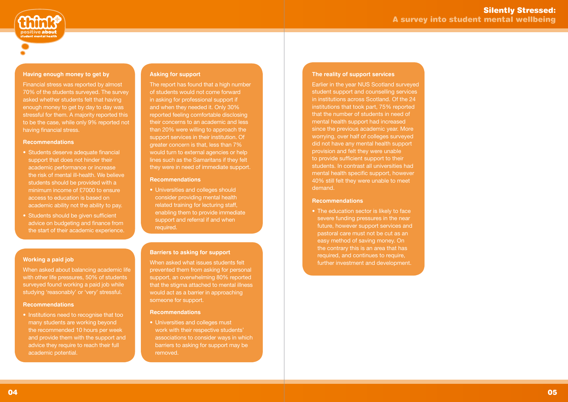



### **Having enough money to get by**

Financial stress was reported by almost 70% of the students surveyed. The survey asked whether students felt that having enough money to get by day to day was stressful for them. A majority reported this to be the case, while only 9% reported not having financial stress.

#### **Recommendations**

When asked about balancing academic life with other life pressures, 50% of students surveyed found working a paid job while studying 'reasonably' or 'very' stressful.

- Students deserve adequate financial support that does not hinder their academic performance or increase the risk of mental ill-health. We believe students should be provided with a minimum income of £7000 to ensure access to education is based on academic ability not the ability to pay.
- Students should be given sufficient advice on budgeting and finance from the start of their academic experience.

• Institutions need to recognise that too many students are working beyond the recommended 10 hours per week and provide them with the support and advice they require to reach their full academic potential.

### **Working a paid job**

#### **Recommendations**

### **The reality of support services**

• Universities and colleges should consider providing mental health related training for lecturing staff, enabling them to provide immediate support and referral if and when required.

Earlier in the year NUS Scotland surveyed student support and counselling services in institutions across Scotland. Of the 24 institutions that took part, 75% reported that the number of students in need of mental health support had increased since the previous academic year. More worrying, over half of colleges surveyed did not have any mental health support provision and felt they were unable to provide sufficient support to their students. In contrast all universities had mental health specific support, however 40% still felt they were unable to meet demand.

#### **Recommendations**

• The education sector is likely to face severe funding pressures in the near future, however support services and pastoral care must not be cut as an easy method of saving money. On the contrary this is an area that has required, and continues to require, further investment and development.

#### **Asking for support**

The report has found that a high number of students would not come forward in asking for professional support if and when they needed it. Only 30% reported feeling comfortable disclosing their concerns to an academic and less than 20% were willing to approach the support services in their institution. Of greater concern is that, less than 7% would turn to external agencies or help lines such as the Samaritans if they felt they were in need of immediate support.

#### **Recommendations**

#### **Barriers to asking for support**

When asked what issues students felt prevented them from asking for personal support, an overwhelming 80% reported that the stigma attached to mental illness would act as a barrier in approaching someone for support.

#### **Recommendations**

• Universities and colleges must work with their respective students' associations to consider ways in which barriers to asking for support may be removed.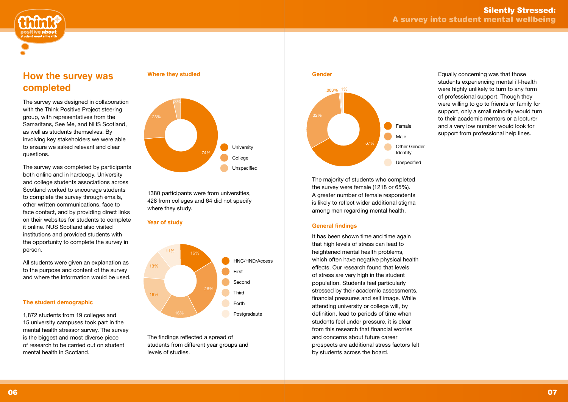



# **How the survey was completed**

The survey was designed in collaboration with the Think Positive Project steering group, with representatives from the Samaritans, See Me, and NHS Scotland, as well as students themselves. By involving key stakeholders we were able to ensure we asked relevant and clear questions.

The survey was completed by participants both online and in hardcopy. University and college students associations across Scotland worked to encourage students to complete the survey through emails, other written communications, face to face contact, and by providing direct links on their websites for students to complete it online. NUS Scotland also visited institutions and provided students with the opportunity to complete the survey in person.

All students were given an explanation as to the purpose and content of the survey and where the information would be used.

# **The student demographic**

1,872 students from 19 colleges and 15 university campuses took part in the mental health stressor survey. The survey is the biggest and most diverse piece of research to be carried out on student mental health in Scotland.

The majority of students who completed the survey were female (1218 or 65%). A greater number of female respondents is likely to reflect wider additional stigma among men regarding mental health.

# **General findings**

It has been shown time and time again that high levels of stress can lead to heightened mental health problems, which often have negative physical health effects. Our research found that levels of stress are very high in the student population. Students feel particularly stressed by their academic assessments, financial pressures and self image. While attending university or college will, by definition, lead to periods of time when students feel under pressure, it is clear from this research that financial worries and concerns about future career prospects are additional stress factors felt by students across the board.



### **Where they studied**

1380 participants were from universities, 428 from colleges and 64 did not specify where they study.

### **Year of study**

The findings reflected a spread of students from different year groups and levels of studies.

Equally concerning was that those students experiencing mental ill-health were highly unlikely to turn to any form of professional support. Though they were willing to go to friends or family for support, only a small minority would turn to their academic mentors or a lecturer and a very low number would look for support from professional help lines.



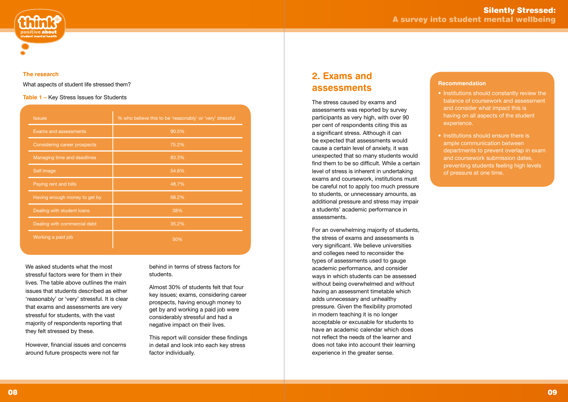



## **The research**

What aspects of student life stressed them?

**Table 1 –** Key Stress Issues for Students

# **2. Exams and assessments**

The stress caused by exams and assessments was reported by survey participants as very high, with over 90 per cent of respondents citing this as a significant stress. Although it can be expected that assessments would cause a certain level of anxiety, it was unexpected that so many students would find them to be so difficult. While a certain level of stress is inherent in undertaking exams and coursework, institutions must be careful not to apply too much pressure to students, or unnecessary amounts, as additional pressure and stress may impair a students' academic performance in assessments.

For an overwhelming majority of students, the stress of exams and assessments is very significant. We believe universities and colleges need to reconsider the types of assessments used to gauge academic performance, and consider ways in which students can be assessed without being overwhelmed and without having an assessment timetable which adds unnecessary and unhealthy pressure. Given the flexibility promoted in modern teaching it is no longer acceptable or excusable for students to have an academic calendar which does not reflect the needs of the learner and does not take into account their learning experience in the greater sense.

- Institutions should constantly review the balance of coursework and assessment and consider what impact this is having on all aspects of the student experience.
- Institutions should ensure there is ample communication between departments to prevent overlap in exam and coursework submission dates, preventing students feeling high levels of pressure at one time.

We asked students what the most stressful factors were for them in their lives. The table above outlines the main issues that students described as either 'reasonably' or 'very' stressful. It is clear that exams and assessments are very stressful for students, with the vast majority of respondents reporting that they felt stressed by these.

However, financial issues and concerns around future prospects were not far

behind in terms of stress factors for students.

Almost 30% of students felt that four key issues; exams, considering career prospects, having enough money to get by and working a paid job were considerably stressful and had a negative impact on their lives.

This report will consider these findings in detail and look into each key stress factor individually.

### **Recommendation**

| <b>Issues</b>                 | % who believe this to be 'reasonably' or 'very' stressful |
|-------------------------------|-----------------------------------------------------------|
| <b>Exams and assessments</b>  | 90.5%                                                     |
| Considering career prospects  | 75.2%                                                     |
| Managing time and deadlines   | 83.3%                                                     |
| Self image                    | 54.6%                                                     |
| Paying rent and bills         | 48.7%                                                     |
| Having enough money to get by | 68.2%                                                     |
| Dealing with student loans    | 38%                                                       |
| Dealing with commercial debt  | 35.2%                                                     |
| Working a paid job            | 50%                                                       |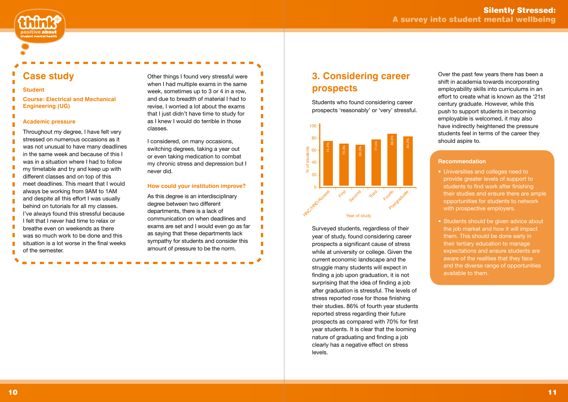# **3. Considering career prospects**

Students who found considering career prospects 'reasonably' or 'very' stressful.

#### $\blacksquare$ **Student**

п × × п ×

п

П п × T п п п  $\blacksquare$ п

× **Course: Electrical and Mechanical Engineering (UG)** П

> Surveyed students, regardless of their year of study, found considering career prospects a significant cause of stress while at university or college. Given the current economic landscape and the struggle many students will expect in finding a job upon graduation, it is not surprising that the idea of finding a job after graduation is stressful. The levels of stress reported rose for those finishing their studies. 86% of fourth year students reported stress regarding their future prospects as compared with 70% for first year students. It is clear that the looming nature of graduating and finding a job clearly has a negative effect on stress levels.



# **Case study**

### **Academic pressure**

Throughout my degree, I have felt very stressed on numerous occasions as it was not unusual to have many deadlines in the same week and because of this I was in a situation where I had to follow my timetable and try and keep up with different classes and on top of this meet deadlines. This meant that I would always be working from 9AM to 1AM and despite all this effort I was usually behind on tutorials for all my classes. I've always found this stressful because I felt that I never had time to relax or breathe even on weekends as there was so much work to be done and this situation is a lot worse in the final weeks of the semester.

Other things I found very stressful were when I had multiple exams in the same week, sometimes up to 3 or 4 in a row, and due to breadth of material I had to revise, I worried a lot about the exams that I just didn't have time to study for as I knew I would do terrible in those classes.

I considered, on many occasions, switching degrees, taking a year out or even taking medication to combat my chronic stress and depression but I never did.

# **How could your institution improve?**

As this degree is an interdisciplinary degree between two different departments, there is a lack of communication on when deadlines and exams are set and I would even go as far as saying that these departments lack sympathy for students and consider this amount of pressure to be the norm.

Over the past few years there has been a shift in academia towards incorporating employability skills into curriculums in an effort to create what is known as the '21st century graduate. However, while this push to support students in becoming employable is welcomed, it may also have indirectly heightened the pressure students feel in terms of the career they should aspire to.

## **Recommendation**

- Universities and colleges need to provide greater levels of support to students to find work after finishing their studies and ensure there are ample opportunities for students to network with prospective employers.
- Students should be given advice about the job market and how it will impact them. This should be done early in their tertiary education to manage expectations and ensure students are aware of the realities that they face and the diverse range of opportunities available to them.

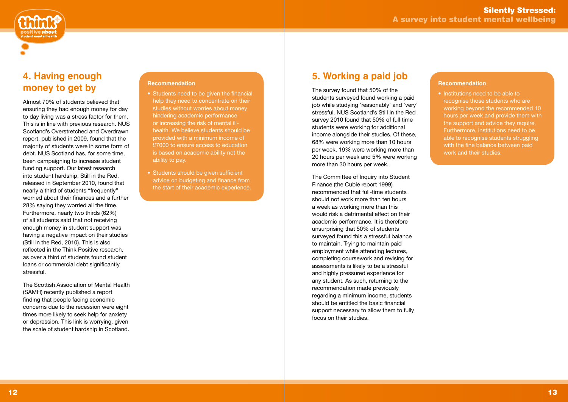

# **4. Having enough money to get by**

Almost 70% of students believed that ensuring they had enough money for day to day living was a stress factor for them. This is in line with previous research. NUS Scotland's Overstretched and Overdrawn report, published in 2009, found that the majority of students were in some form of debt. NUS Scotland has, for some time, been campaigning to increase student funding support. Our latest research into student hardship, Still in the Red, released in September 2010, found that nearly a third of students "frequently" worried about their finances and a further 28% saying they worried all the time. Furthermore, nearly two thirds (62%) of all students said that not receiving enough money in student support was having a negative impact on their studies (Still in the Red, 2010). This is also reflected in the Think Positive research, as over a third of students found student loans or commercial debt significantly stressful.

The Scottish Association of Mental Health (SAMH) recently published a report finding that people facing economic concerns due to the recession were eight times more likely to seek help for anxiety or depression. This link is worrying, given the scale of student hardship in Scotland.

# **5. Working a paid job**

The survey found that 50% of the students surveyed found working a paid job while studying 'reasonably' and 'very' stressful. NUS Scotland's Still in the Red survey 2010 found that 50% of full time students were working for additional income alongside their studies. Of these, 68% were working more than 10 hours per week. 19% were working more than 20 hours per week and 5% were working more than 30 hours per week.

• Institutions need to be able to recognise those students who are working beyond the recommended 10 hours per week and provide them with the support and advice they require. Furthermore, institutions need to be able to recognise students struggling with the fine balance between paid work and their studies.

The Committee of Inquiry into Student Finance (the Cubie report 1999) recommended that full-time students should not work more than ten hours a week as working more than this would risk a detrimental effect on their academic performance. It is therefore unsurprising that 50% of students surveyed found this a stressful balance to maintain. Trying to maintain paid employment while attending lectures, completing coursework and revising for assessments is likely to be a stressful and highly pressured experience for any student. As such, returning to the recommendation made previously regarding a minimum income, students should be entitled the basic financial support necessary to allow them to fully focus on their studies.

## **Recommendation**

- Students need to be given the financial help they need to concentrate on their studies without worries about money hindering academic performance or increasing the risk of mental illhealth. We believe students should be provided with a minimum income of £7000 to ensure access to education is based on academic ability not the ability to pay.
- Students should be given sufficient advice on budgeting and finance from the start of their academic experience.

#### **Recommendation**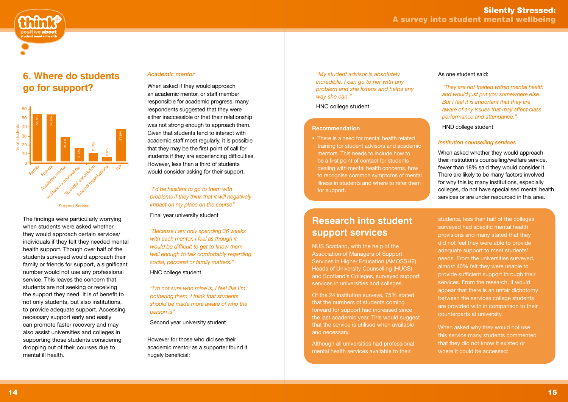

# **6. Where do students go for support?**

The findings were particularly worrying when students were asked whether they would approach certain services/ individuals if they felt they needed mental health support. Though over half of the students surveyed would approach their family or friends for support, a significant number would not use any professional service. This leaves the concern that students are not seeking or receiving the support they need. It is of benefit to not only students, but also institutions, to provide adequate support. Accessing necessary support early and easily can promote faster recovery and may also assist universities and colleges in supporting those students considering dropping out of their courses due to mental ill health.

## *Academic mentor*

When asked if they would approach an academic mentor, or staff member responsible for academic progress, many respondents suggested that they were either inaccessible or that their relationship was not strong enough to approach them. Given that students tend to interact with academic staff most regularly, it is possible that they may be the first point of call for students if they are experiencing difficulties. However, less than a third of students would consider asking for their support.

*"I'd be hesitant to go to them with problems if they think that it will negatively impact on my place on the course"*

Final year university student

*"Because I am only spending 36 weeks with each mentor, I feel as though it would be difficult to get to know them well enough to talk comfortably regarding social, personal or family matters."*

HNC college student

*"I'm not sure who mine is, I feel like I'm bothering them, I think that students should be made more aware of who the person is"* 

Second year university student

However for those who did see their academic mentor as a supporter found it hugely beneficial:

*"My student advisor is absolutely incredible. I can go to her with any problem and she listens and helps any way she can."* 

HNC college student

### **Recommendation**

• There is a need for mental health related training for student advisors and academic mentors. This needs to include how to be a first point of contact for students dealing with mental health concerns, how to recognise common symptoms of mental illness in students and where to refer them for support.

# As one student said:

*"They are not trained within mental health and would just put you somewhere else. But I feel it is important that they are aware of any issues that may affect class performance and attendance."*

HND college student

# *Institution counselling services*

When asked whether they would approach their institution's counselling/welfare service, fewer than 18% said they would consider it. There are likely to be many factors involved for why this is; many institutions, especially colleges, do not have specialised mental health services or are under resourced in this area.

# **Research into student support services**

NUS Scotland, with the help of the Association of Managers of Support Services in Higher Education (AMOSSHE), Heads of University Counselling (HUCS) and Scotland's Colleges, surveyed support services in universities and colleges.

Of the 24 institution surveys, 75% stated that the numbers of students coming forward for support had increased since the last academic year. This would suggest that the service is utilised when available and necessary.

Although all universities had professional mental health services available to their

students, less than half of the colleges surveyed had specific mental health provisions and many stated that they did not feel they were able to provide adequate support to meet students' needs. From the universities surveyed, almost 40% felt they were unable to provide sufficient support through their services. From the research, it would appear that there is an unfair dichotomy between the services college students are provided with in comparison to their counterparts at university.

When asked why they would not use this service many students commented that they did not know it existed or where it could be accessed:

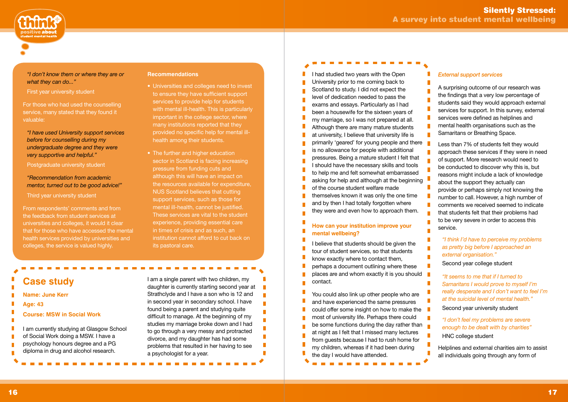T.

T.

n

 $\blacksquare$  $\mathbb{R}^n$ 

 $\overline{\phantom{a}}$ 



I had studied two years with the Open University prior to me coming back to Scotland to study. I did not expect the level of dedication needed to pass the exams and essays. Particularly as I had been a housewife for the sixteen years of my marriage, so I was not prepared at all. Although there are many mature students at university, I believe that university life is primarily 'geared' for young people and there is no allowance for people with additional pressures. Being a mature student I felt that I should have the necessary skills and tools to help me and felt somewhat embarrassed asking for help and although at the beginning of the course student welfare made themselves known it was only the one time and by then I had totally forgotten where they were and even how to approach them.

# **How can your institution improve your mental wellbeing?**

I believe that students should be given the tour of student services, so that students know exactly where to contact them, perhaps a document outlining where these places are and whom exactly it is you should contact.

You could also link up other people who are and have experienced the same pressures could offer some insight on how to make the most of university life. Perhaps there could be some functions during the day rather than at night as I felt that I missed many lectures from guests because I had to rush home for my children, whereas if it had been during the day I would have attended.

## *"I don't know them or where they are or what they can do..."*

First year university student

П I am currently studying at Glasgow School П of Social Work doing a MSW. I have a psychology honours degree and a PG diploma in drug and alcohol research.

For those who had used the counselling service, many stated that they found it valuable:

*"I have used University support services before for counselling during my undergraduate degree and they were very supportive and helpful."* 

### Postgraduate university student

# *"Recommendation from academic mentor, turned out to be good advice!"*

#### Third year university student

From respondents' comments and from the feedback from student services at universities and colleges, it would it clear that for those who have accessed the mental health services provided by universities and colleges, the service is valued highly.

### **Recommendations**

- Universities and colleges need to invest to ensure they have sufficient support services to provide help for students with mental ill-health. This is particularly important in the college sector, where many institutions reported that they provided no specific help for mental illhealth among their students.
- The further and higher education sector in Scotland is facing increasing pressure from funding cuts and although this will have an impact on the resources available for expenditure, NUS Scotland believes that cutting support services, such as those for mental ill-health, cannot be justified. These services are vital to the student experience, providing essential care in times of crisis and as such, an institution cannot afford to cut back on its pastoral care.

# **Case study**

- **Name: June Kerr**
- **Age: 43**

П П

### **Course: MSW in Social Work**

I am a single parent with two children, my daughter is currently starting second year at Strathclyde and I have a son who is 12 and in second year in secondary school. I have found being a parent and studying quite difficult to manage. At the beginning of my studies my marriage broke down and I had to go through a very messy and protracted divorce, and my daughter has had some problems that resulted in her having to see a psychologist for a year.

### *External support services*

A surprising outcome of our research was the findings that a very low percentage of students said they would approach external services for support. In this survey, external services were defined as helplines and mental health organisations such as the Samaritans or Breathing Space.

Less than 7% of students felt they would approach these services if they were in need of support. More research would need to be conducted to discover why this is, but reasons might include a lack of knowledge about the support they actually can provide or perhaps simply not knowing the number to call. However, a high number of comments we received seemed to indicate that students felt that their problems had to be very severe in order to access this service.

# *"I think I'd have to perceive my problems as pretty big before I approached an external organisation."*

Second year college student

*"It seems to me that if I turned to Samaritans I would prove to myself I'm really desperate and I don't want to feel I'm at the suicidal level of mental health."*

Second year university student

*"I don't feel my problems are severe enough to be dealt with by charities"* 

HNC college student

Helplines and external charities aim to assist all individuals going through any form of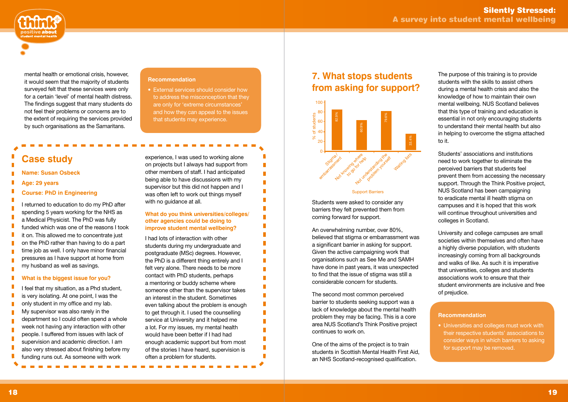# **7. What stops students from asking for support?**

Students were asked to consider any barriers they felt prevented them from coming forward for support.

An overwhelming number, over 80%, believed that stigma or embarrassment was a significant barrier in asking for support. Given the active campaigning work that organisations such as See Me and SAMH have done in past years, it was unexpected to find that the issue of stigma was still a considerable concern for students.

The second most common perceived barrier to students seeking support was a lack of knowledge about the mental health problem they may be facing. This is a core area NUS Scotland's Think Positive project continues to work on.

One of the aims of the project is to train students in Scottish Mental Health First Aid, an NHS Scotland-recognised qualification.

#### $\overline{\phantom{a}}$ **What is the biggest issue for you?**



mental health or emotional crisis, however, it would seem that the majority of students surveyed felt that these services were only for a certain 'level' of mental health distress. The findings suggest that many students do not feel their problems or concerns are to the extent of requiring the services provided by such organisations as the Samaritans.

### **Recommendation**

• External services should consider how to address the misconception that they are only for 'extreme circumstances' and how they can appeal to the issues that students may experience.

# **Case study**

#### **Name: Susan Osbeck**

**Age: 29 years**

п

П п

T. П  $\mathbf{r}$ 

**Course: PhD in Engineering**

I returned to education to do my PhD after spending 5 years working for the NHS as a Medical Physicist. The PhD was fully funded which was one of the reasons I took it on. This allowed me to concentrate just on the PhD rather than having to do a part time job as well. I only have minor financial pressures as I have support at home from my husband as well as savings.

I feel that my situation, as a Phd student, П is very isolating. At one point, I was the П only student in my office and my lab. My supervisor was also rarely in the n. department so I could often spend a whole week not having any interaction with other people. I suffered from issues with lack of supervision and academic direction. I am also very stressed about finishing before my funding runs out. As someone with work

experience, I was used to working alone on projects but I always had support from other members of staff. I had anticipated being able to have discussions with my supervisor but this did not happen and I was often left to work out things myself with no guidance at all.

П

П

П

П

n

П

### **What do you think universities/colleges/ other agencies could be doing to improve student mental wellbeing?**

I had lots of interaction with other students during my undergraduate and postgraduate (MSc) degrees. However, the PhD is a different thing entirely and I felt very alone. There needs to be more contact with PhD students, perhaps a mentoring or buddy scheme where someone other than the supervisor takes an interest in the student. Sometimes even talking about the problem is enough to get through it. I used the counselling service at University and it helped me a lot. For my issues, my mental health would have been better if I had had enough academic support but from most of the stories I have heard, supervision is often a problem for students.

The purpose of this training is to provide students with the skills to assist others during a mental health crisis and also the knowledge of how to maintain their own mental wellbeing. NUS Scotland believes that this type of training and education is essential in not only encouraging students to understand their mental health but also in helping to overcome the stigma attached to it.

Students' associations and institutions need to work together to eliminate the perceived barriers that students feel prevent them from accessing the necessary support. Through the Think Positive project, NUS Scotland has been campaigning to eradicate mental ill health stigma on campuses and it is hoped that this work will continue throughout universities and colleges in Scotland.

University and college campuses are small societies within themselves and often have a highly diverse population, with students increasingly coming from all backgrounds and walks of like. As such it is imperative that universities, colleges and students associations work to ensure that their student environments are inclusive and free of prejudice.

#### **Recommendation**

• Universities and colleges must work with their respective students' associations to consider ways in which barriers to asking for support may be removed.



#### Support Barriers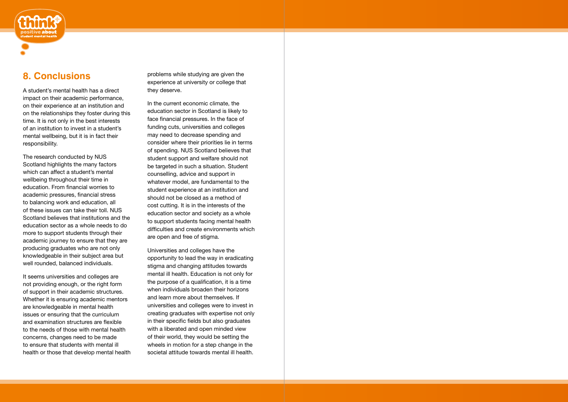# **8. Conclusions**

A student's mental health has a direct impact on their academic performance, on their experience at an institution and on the relationships they foster during this time. It is not only in the best interests of an institution to invest in a student's mental wellbeing, but it is in fact their responsibility.

The research conducted by NUS Scotland highlights the many factors which can affect a student's mental wellbeing throughout their time in education. From financial worries to academic pressures, financial stress to balancing work and education, all of these issues can take their toll. NUS Scotland believes that institutions and the education sector as a whole needs to do more to support students through their academic journey to ensure that they are producing graduates who are not only knowledgeable in their subject area but well rounded, balanced individuals.

It seems universities and colleges are not providing enough, or the right form of support in their academic structures. Whether it is ensuring academic mentors are knowledgeable in mental health issues or ensuring that the curriculum and examination structures are flexible to the needs of those with mental health concerns, changes need to be made to ensure that students with mental ill health or those that develop mental health problems while studying are given the experience at university or college that they deserve.

In the current economic climate, the education sector in Scotland is likely to face financial pressures. In the face of funding cuts, universities and colleges may need to decrease spending and consider where their priorities lie in terms of spending. NUS Scotland believes that student support and welfare should not be targeted in such a situation. Student counselling, advice and support in whatever model, are fundamental to the student experience at an institution and should not be closed as a method of cost cutting. It is in the interests of the education sector and society as a whole to support students facing mental health difficulties and create environments which are open and free of stigma.

Universities and colleges have the opportunity to lead the way in eradicating stigma and changing attitudes towards mental ill health. Education is not only for the purpose of a qualification, it is a time when individuals broaden their horizons and learn more about themselves. If universities and colleges were to invest in creating graduates with expertise not only in their specific fields but also graduates with a liberated and open minded view of their world, they would be setting the wheels in motion for a step change in the societal attitude towards mental ill health.